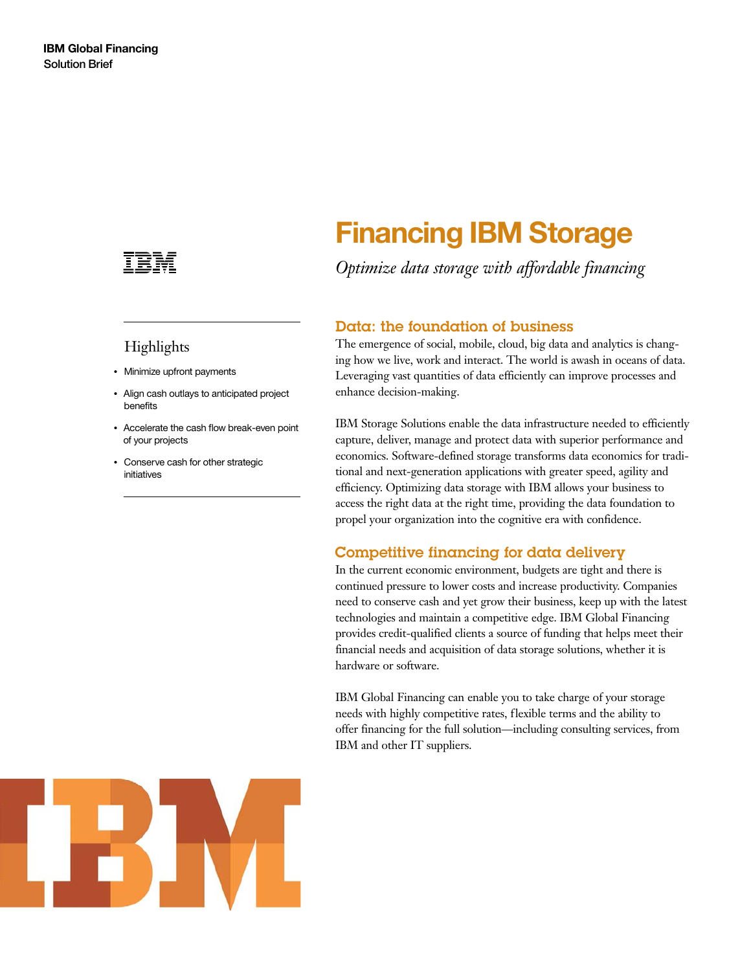

## Highlights

- Minimize upfront payments
- Align cash outlays to anticipated project benefits
- Accelerate the cash flow break-even point of your projects
- Conserve cash for other strategic initiatives

# **Financing IBM Storage**

*Optimize data storage with affordable financing*

#### Data: the foundation of business

The emergence of social, mobile, cloud, big data and analytics is changing how we live, work and interact. The world is awash in oceans of data. Leveraging vast quantities of data efficiently can improve processes and enhance decision-making.

IBM Storage Solutions enable the data infrastructure needed to efficiently capture, deliver, manage and protect data with superior performance and economics. Software-defined storage transforms data economics for traditional and next-generation applications with greater speed, agility and efficiency. Optimizing data storage with IBM allows your business to access the right data at the right time, providing the data foundation to propel your organization into the cognitive era with confidence.

### Competitive financing for data delivery

In the current economic environment, budgets are tight and there is continued pressure to lower costs and increase productivity. Companies need to conserve cash and yet grow their business, keep up with the latest technologies and maintain a competitive edge. IBM Global Financing provides credit-qualified clients a source of funding that helps meet their financial needs and acquisition of data storage solutions, whether it is hardware or software.

IBM Global Financing can enable you to take charge of your storage needs with highly competitive rates, flexible terms and the ability to offer financing for the full solution—including consulting services, from IBM and other IT suppliers.